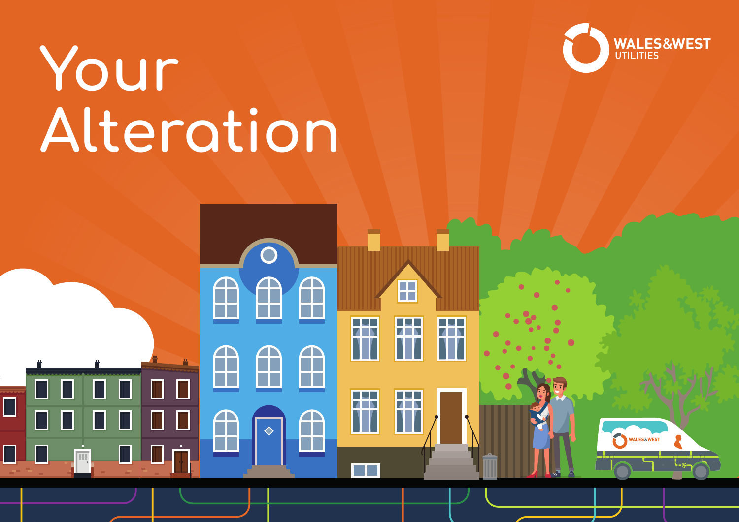

# **Your Alteration**

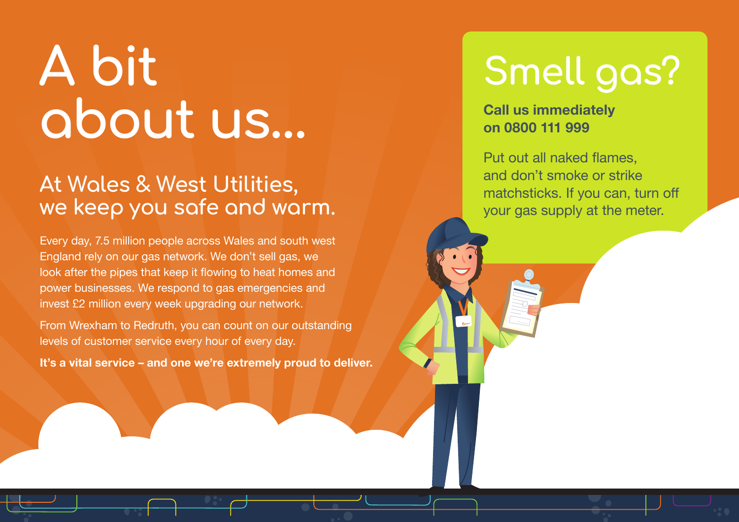## **A bit about us…**

### **At Wales & West Utilities, we keep you safe and warm.**

Every day, 7.5 million people across Wales and south west England rely on our gas network. We don't sell gas, we look after the pipes that keep it flowing to heat homes and power businesses. We respond to gas emergencies and invest £2 million every week upgrading our network.

From Wrexham to Redruth, you can count on our outstanding levels of customer service every hour of every day.

**It's a vital service – and one we're extremely proud to deliver.**

## **Smell gas?**

**Call us immediately on 0800 111 999**

Put out all naked flames, and don't smoke or strike matchsticks. If you can, turn off your gas supply at the meter.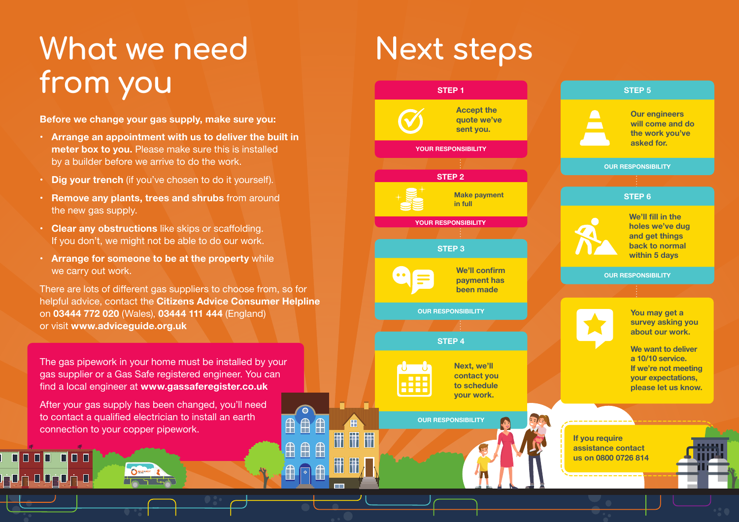## **What we need Next steps from you**

**Before we change your gas supply, make sure you:**

- **Arrange an appointment with us to deliver the built in meter box to you.** Please make sure this is installed by a builder before we arrive to do the work.
- **Dig your trench** (if you've chosen to do it yourself).
- **Remove any plants, trees and shrubs** from around the new gas supply.
- **Clear any obstructions** like skips or scaffolding. If you don't, we might not be able to do our work.
- **Arrange for someone to be at the property** while we carry out work.

There are lots of different gas suppliers to choose from, so for helpful advice, contact the **Citizens Advice Consumer Helpline**  on **03444 772 020** (Wales), **03444 111 444** (England) or visit **www.adviceguide.org.uk**

> $\overline{\bigoplus}$  $\bigcap$

 $\overline{\mathbb{R}}$  $\mathbb{A}$ 

The gas pipework in your home must be installed by your gas supplier or a Gas Safe registered engineer. You can find a local engineer at **www.gassaferegister.co.uk** 

After your gas supply has been changed, you'll need to contact a qualified electrician to install an earth connection to your copper pipework.

n filmin n

ه خ <mark>مخت</mark>ه خ <mark>م</mark>خ

ПП